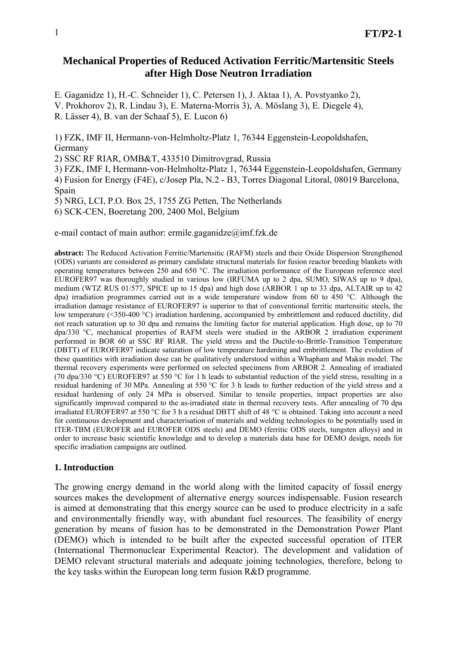# **Mechanical Properties of Reduced Activation Ferritic/Martensitic Steels after High Dose Neutron Irradiation**

E. Gaganidze 1), H.-C. Schneider 1), C. Petersen 1), J. Aktaa 1), A. Povstyanko 2), V. Prokhorov 2), R. Lindau 3), E. Materna-Morris 3), A. Möslang 3), E. Diegele 4), R. Lässer 4), B. van der Schaaf 5), E. Lucon 6)

1) FZK, IMF II, Hermann-von-Helmholtz-Platz 1, 76344 Eggenstein-Leopoldshafen, Germany

2) SSC RF RIAR, OMB&T, 433510 Dimitrovgrad, Russia

3) FZK, IMF I, Hermann-von-Helmholtz-Platz 1, 76344 Eggenstein-Leopoldshafen, Germany 4) Fusion for Energy (F4E), c/Josep Pla, N.2 - B3, Torres Diagonal Litoral, 08019 Barcelona, Spain

5) NRG, LCI, P.O. Box 25, 1755 ZG Petten, The Netherlands

6) SCK-CEN, Boeretang 200, 2400 Mol, Belgium

e-mail contact of main author: ermile.gaganidze@imf.fzk.de

**abstract:** The Reduced Activation Ferritic/Martensitic (RAFM) steels and their Oxide Dispersion Strengthened (ODS) variants are considered as primary candidate structural materials for fusion reactor breeding blankets with operating temperatures between 250 and 650 °C. The irradiation performance of the European reference steel EUROFER97 was thoroughly studied in various low (IRFUMA up to 2 dpa, SUMO, SIWAS up to 9 dpa), medium (WTZ RUS 01/577, SPICE up to 15 dpa) and high dose (ARBOR 1 up to 33 dpa, ALTAIR up to 42 dpa) irradiation programmes carried out in a wide temperature window from 60 to 450 °C. Although the irradiation damage resistance of EUROFER97 is superior to that of conventional ferritic martensitic steels, the low temperature (<350-400 °C) irradiation hardening, accompanied by embrittlement and reduced ductility, did not reach saturation up to 30 dpa and remains the limiting factor for material application. High dose, up to 70 dpa/330 °C, mechanical properties of RAFM steels were studied in the ARBOR 2 irradiation experiment performed in BOR 60 at SSC RF RIAR. The yield stress and the Ductile-to-Brittle-Transition Temperature (DBTT) of EUROFER97 indicate saturation of low temperature hardening and embrittlement. The evolution of these quantities with irradiation dose can be qualitatively understood within a Whapham and Makin model. The thermal recovery experiments were performed on selected specimens from ARBOR 2. Annealing of irradiated (70 dpa/330 °C) EUROFER97 at 550 °C for 1 h leads to substantial reduction of the yield stress, resulting in a residual hardening of 30 MPa. Annealing at 550 °C for 3 h leads to further reduction of the yield stress and a residual hardening of only 24 MPa is observed. Similar to tensile properties, impact properties are also significantly improved compared to the as-irradiated state in thermal recovery tests. After annealing of 70 dpa irradiated EUROFER97 at 550 °C for 3 h a residual DBTT shift of 48 °C is obtained. Taking into account a need for continuous development and characterisation of materials and welding technologies to be potentially used in ITER-TBM (EUROFER and EUROFER ODS steels) and DEMO (ferritic ODS steels, tungsten alloys) and in order to increase basic scientific knowledge and to develop a materials data base for DEMO design, needs for specific irradiation campaigns are outlined.

#### **1. Introduction**

The growing energy demand in the world along with the limited capacity of fossil energy sources makes the development of alternative energy sources indispensable. Fusion research is aimed at demonstrating that this energy source can be used to produce electricity in a safe and environmentally friendly way, with abundant fuel resources. The feasibility of energy generation by means of fusion has to be demonstrated in the Demonstration Power Plant (DEMO) which is intended to be built after the expected successful operation of ITER (International Thermonuclear Experimental Reactor). The development and validation of DEMO relevant structural materials and adequate joining technologies, therefore, belong to the key tasks within the European long term fusion R&D programme.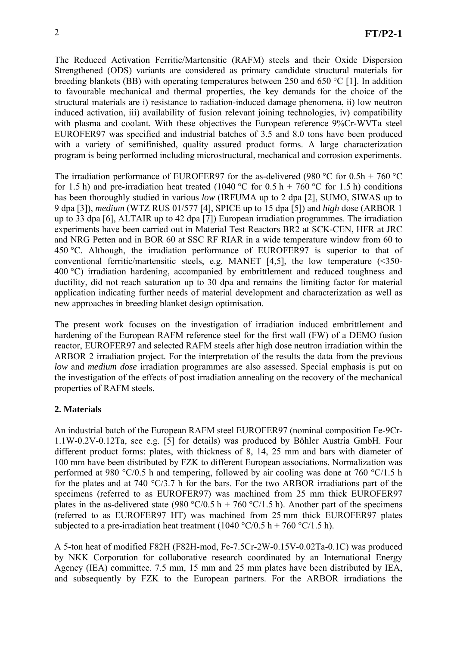The Reduced Activation Ferritic/Martensitic (RAFM) steels and their Oxide Dispersion Strengthened (ODS) variants are considered as primary candidate structural materials for breeding blankets (BB) with operating temperatures between 250 and 650 °C [1]. In addition to favourable mechanical and thermal properties, the key demands for the choice of the structural materials are i) resistance to radiation-induced damage phenomena, ii) low neutron induced activation, iii) availability of fusion relevant joining technologies, iv) compatibility with plasma and coolant. With these objectives the European reference 9%Cr-WVTa steel EUROFER97 was specified and industrial batches of 3.5 and 8.0 tons have been produced with a variety of semifinished, quality assured product forms. A large characterization program is being performed including microstructural, mechanical and corrosion experiments.

The irradiation performance of EUROFER97 for the as-delivered (980 °C for 0.5h + 760 °C for 1.5 h) and pre-irradiation heat treated (1040 °C for 0.5 h + 760 °C for 1.5 h) conditions has been thoroughly studied in various *low* (IRFUMA up to 2 dpa [2], SUMO, SIWAS up to 9 dpa [3]), *medium* (WTZ RUS 01/577 [4], SPICE up to 15 dpa [5]) and *high* dose (ARBOR 1 up to 33 dpa [6], ALTAIR up to 42 dpa [7]) European irradiation programmes. The irradiation experiments have been carried out in Material Test Reactors BR2 at SCK-CEN, HFR at JRC and NRG Petten and in BOR 60 at SSC RF RIAR in a wide temperature window from 60 to 450 °C. Although, the irradiation performance of EUROFER97 is superior to that of conventional ferritic/martensitic steels, e.g. MANET [4,5], the low temperature (<350- 400 °C) irradiation hardening, accompanied by embrittlement and reduced toughness and ductility, did not reach saturation up to 30 dpa and remains the limiting factor for material application indicating further needs of material development and characterization as well as new approaches in breeding blanket design optimisation.

The present work focuses on the investigation of irradiation induced embrittlement and hardening of the European RAFM reference steel for the first wall (FW) of a DEMO fusion reactor, EUROFER97 and selected RAFM steels after high dose neutron irradiation within the ARBOR 2 irradiation project. For the interpretation of the results the data from the previous *low* and *medium dose* irradiation programmes are also assessed. Special emphasis is put on the investigation of the effects of post irradiation annealing on the recovery of the mechanical properties of RAFM steels.

# **2. Materials**

An industrial batch of the European RAFM steel EUROFER97 (nominal composition Fe-9Cr-1.1W-0.2V-0.12Ta, see e.g. [5] for details) was produced by Böhler Austria GmbH. Four different product forms: plates, with thickness of 8, 14, 25 mm and bars with diameter of 100 mm have been distributed by FZK to different European associations. Normalization was performed at 980 °C/0.5 h and tempering, followed by air cooling was done at 760 °C/1.5 h for the plates and at 740  $\degree$ C/3.7 h for the bars. For the two ARBOR irradiations part of the specimens (referred to as EUROFER97) was machined from 25 mm thick EUROFER97 plates in the as-delivered state (980 °C/0.5 h + 760 °C/1.5 h). Another part of the specimens (referred to as EUROFER97 HT) was machined from 25 mm thick EUROFER97 plates subjected to a pre-irradiation heat treatment (1040 °C/0.5 h + 760 °C/1.5 h).

A 5-ton heat of modified F82H (F82H-mod, Fe-7.5Cr-2W-0.15V-0.02Ta-0.1C) was produced by NKK Corporation for collaborative research coordinated by an International Energy Agency (IEA) committee. 7.5 mm, 15 mm and 25 mm plates have been distributed by IEA, and subsequently by FZK to the European partners. For the ARBOR irradiations the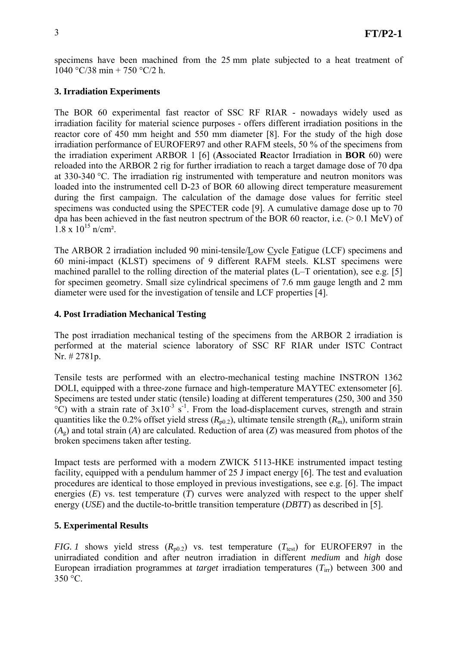specimens have been machined from the 25 mm plate subjected to a heat treatment of 1040 °C/38 min + 750 °C/2 h.

## **3. Irradiation Experiments**

The BOR 60 experimental fast reactor of SSC RF RIAR - nowadays widely used as irradiation facility for material science purposes - offers different irradiation positions in the reactor core of 450 mm height and 550 mm diameter [8]. For the study of the high dose irradiation performance of EUROFER97 and other RAFM steels, 50 % of the specimens from the irradiation experiment ARBOR 1 [6] (**A**ssociated **R**eactor Irradiation in **BOR** 60) were reloaded into the ARBOR 2 rig for further irradiation to reach a target damage dose of 70 dpa at 330-340 °C. The irradiation rig instrumented with temperature and neutron monitors was loaded into the instrumented cell D-23 of BOR 60 allowing direct temperature measurement during the first campaign. The calculation of the damage dose values for ferritic steel specimens was conducted using the SPECTER code [9]. A cumulative damage dose up to 70 dpa has been achieved in the fast neutron spectrum of the BOR 60 reactor, i.e.  $(> 0.1 \text{ MeV})$  of  $1.8 \times 10^{15}$  n/cm<sup>2</sup>.

The ARBOR 2 irradiation included 90 mini-tensile/Low Cycle Fatigue (LCF) specimens and 60 mini-impact (KLST) specimens of 9 different RAFM steels. KLST specimens were machined parallel to the rolling direction of the material plates (L–T orientation), see e.g. [5] for specimen geometry. Small size cylindrical specimens of 7.6 mm gauge length and 2 mm diameter were used for the investigation of tensile and LCF properties [4].

### **4. Post Irradiation Mechanical Testing**

The post irradiation mechanical testing of the specimens from the ARBOR 2 irradiation is performed at the material science laboratory of SSC RF RIAR under ISTC Contract Nr. # 2781p.

Tensile tests are performed with an electro-mechanical testing machine INSTRON 1362 DOLI, equipped with a three-zone furnace and high-temperature MAYTEC extensometer [6]. Specimens are tested under static (tensile) loading at different temperatures (250, 300 and 350  $\rm ^{\circ}C)$  with a strain rate of 3x10<sup>-3</sup> s<sup>-1</sup>. From the load-displacement curves, strength and strain quantities like the 0.2% offset yield stress  $(R_{p0.2})$ , ultimate tensile strength  $(R_m)$ , uniform strain (*A*g) and total strain (*A*) are calculated. Reduction of area (*Z*) was measured from photos of the broken specimens taken after testing.

Impact tests are performed with a modern ZWICK 5113-HKE instrumented impact testing facility, equipped with a pendulum hammer of 25 J impact energy [6]. The test and evaluation procedures are identical to those employed in previous investigations, see e.g. [6]. The impact energies (*E*) vs. test temperature (*T*) curves were analyzed with respect to the upper shelf energy (*USE*) and the ductile-to-brittle transition temperature (*DBTT*) as described in [5].

#### **5. Experimental Results**

*FIG. 1* shows yield stress  $(R_{p0.2})$  vs. test temperature  $(T_{test})$  for EUROFER97 in the unirradiated condition and after neutron irradiation in different *medium* and *high* dose European irradiation programmes at *target* irradiation temperatures (*T*irr) between 300 and 350 °C.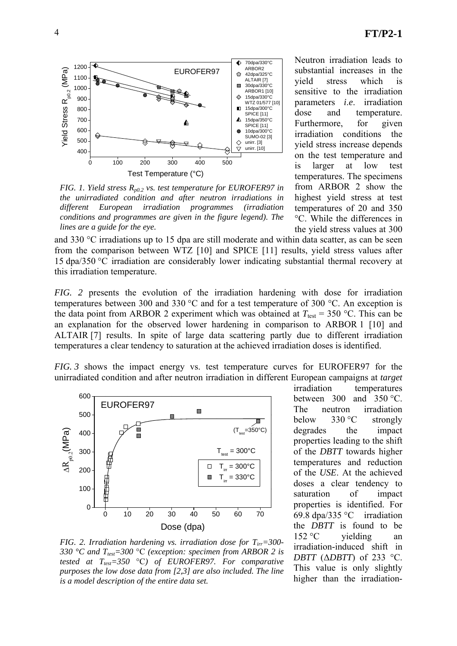

*FIG. 1. Yield stress*  $R_{p0.2}$  *vs. test temperature for EUROFER97 in the unirradiated condition and after neutron irradiations in different European irradiation programmes (irradiation conditions and programmes are given in the figure legend). The lines are a guide for the eye.* 

Neutron irradiation leads to substantial increases in the yield stress which is sensitive to the irradiation parameters *i*.*e*. irradiation dose and temperature. Furthermore, for given irradiation conditions the yield stress increase depends on the test temperature and is larger at low test temperatures. The specimens from ARBOR 2 show the highest yield stress at test temperatures of 20 and 350 °C. While the differences in the yield stress values at 300

and 330 °C irradiations up to 15 dpa are still moderate and within data scatter, as can be seen from the comparison between WTZ [10] and SPICE [11] results, yield stress values after 15 dpa/350 °C irradiation are considerably lower indicating substantial thermal recovery at this irradiation temperature.

*FIG. 2* presents the evolution of the irradiation hardening with dose for irradiation temperatures between 300 and 330 °C and for a test temperature of 300 °C. An exception is the data point from ARBOR 2 experiment which was obtained at  $T_{\text{test}} = 350 \text{ °C}$ . This can be an explanation for the observed lower hardening in comparison to ARBOR 1 [10] and ALTAIR [7] results. In spite of large data scattering partly due to different irradiation temperatures a clear tendency to saturation at the achieved irradiation doses is identified.

*FIG. 3* shows the impact energy vs. test temperature curves for EUROFER97 for the unirradiated condition and after neutron irradiation in different European campaigns at *target*



*FIG. 2. Irradiation hardening vs. irradiation dose for Tirr=300- 330 °C and Ttest=300* °C *(exception: specimen from ARBOR 2 is tested at*  $T_{test} = 350$  °C*) of EUROFER97. For comparative purposes the low dose data from [2,3] are also included. The line is a model description of the entire data set.* 

irradiation temperatures between  $300$  and  $350$  °C. The neutron irradiation below 330 °C strongly degrades the impact properties leading to the shift of the *DBTT* towards higher temperatures and reduction of the *USE*. At the achieved doses a clear tendency to saturation of impact properties is identified. For 69.8 dpa/335 °C irradiation the *DBTT* is found to be  $152 \degree C$  yielding an irradiation-induced shift in *DBTT* (Δ*DBTT*) of 233 °C. This value is only slightly higher than the irradiation-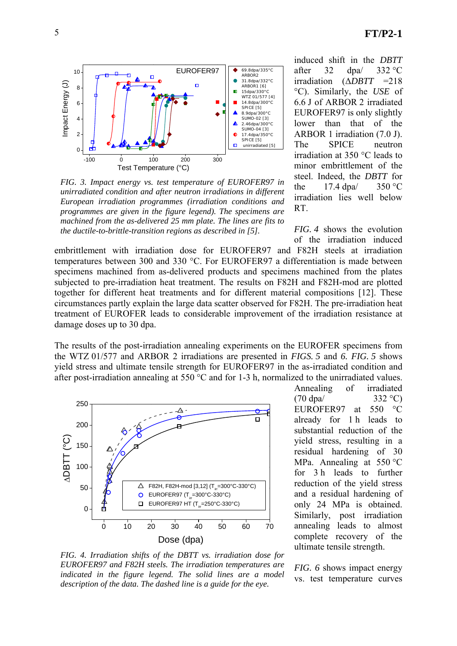

*FIG. 3. Impact energy vs. test temperature of EUROFER97 in unirradiated condition and after neutron irradiations in different European irradiation programmes (irradiation conditions and programmes are given in the figure legend). The specimens are machined from the as-delivered 25 mm plate. The lines are fits to the ductile-to-brittle-transition regions as described in [5].* 

induced shift in the *DBTT* after  $32 \text{ dpa}$   $332 \text{ °C}$ irradiation (Δ*DBTT* =218 °C). Similarly, the *USE* of 6.6 J of ARBOR 2 irradiated EUROFER97 is only slightly lower than that of the ARBOR 1 irradiation (7.0 J). The SPICE neutron irradiation at 350 °C leads to minor embrittlement of the steel. Indeed, the *DBTT* for the  $17.4$  dpa $/$  350 °C irradiation lies well below RT.

*FIG. 4* shows the evolution of the irradiation induced

embrittlement with irradiation dose for EUROFER97 and F82H steels at irradiation temperatures between 300 and 330 °C. For EUROFER97 a differentiation is made between specimens machined from as-delivered products and specimens machined from the plates subjected to pre-irradiation heat treatment. The results on F82H and F82H-mod are plotted together for different heat treatments and for different material compositions [12]. These circumstances partly explain the large data scatter observed for F82H. The pre-irradiation heat treatment of EUROFER leads to considerable improvement of the irradiation resistance at damage doses up to 30 dpa.

The results of the post-irradiation annealing experiments on the EUROFER specimens from the WTZ 01/577 and ARBOR 2 irradiations are presented in *FIGS. 5* and *6. FIG. 5* shows yield stress and ultimate tensile strength for EUROFER97 in the as-irradiated condition and after post-irradiation annealing at 550 °C and for 1-3 h, normalized to the unirradiated values.



*FIG. 4. Irradiation shifts of the DBTT vs. irradiation dose for EUROFER97 and F82H steels. The irradiation temperatures are indicated in the figure legend. The solid lines are a model description of the data. The dashed line is a guide for the eye.* 

Annealing of irradiated  $(70 \text{ dpa} / 332 \text{ °C})$ EUROFER97 at 550 °C already for 1 h leads to substantial reduction of the yield stress, resulting in a residual hardening of 30 MPa. Annealing at 550 °C for 3 h leads to further reduction of the yield stress and a residual hardening of only 24 MPa is obtained. Similarly, post irradiation annealing leads to almost complete recovery of the ultimate tensile strength.

*FIG. 6* shows impact energy vs. test temperature curves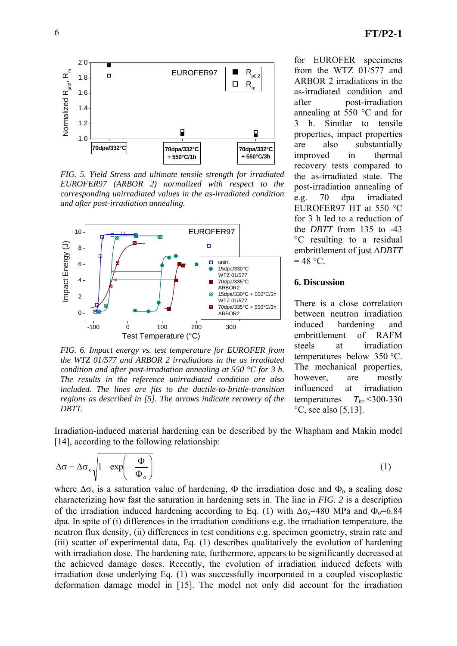

*FIG. 5. Yield Stress and ultimate tensile strength for irradiated EUROFER97 (ARBOR 2) normalized with respect to the corresponding unirradiated values in the as-irradiated condition and after post-irradiation annealing.* 



*FIG. 6. Impact energy vs. test temperature for EUROFER from the WTZ 01/577 and ARBOR 2 irradiations in the as irradiated condition and after post-irradiation annealing at 550 °C for 3 h. The results in the reference unirradiated condition are also included. The lines are fits to the ductile-to-brittle-transition regions as described in [5]. The arrows indicate recovery of the DBTT.* 

ARBOR 2 irradiations in the as-irradiated condition and after post-irradiation annealing at 550 °C and for 3 h. Similar to tensile properties, impact properties are also substantially improved in thermal recovery tests compared to the as-irradiated state. The post-irradiation annealing of e.g. 70 dpa irradiated EUROFER97 HT at 550 °C for 3 h led to a reduction of the *DBTT* from 135 to -43 °C resulting to a residual embrittlement of just Δ*DBTT*

for EUROFER specimens from the WTZ 01/577 and

#### **6. Discussion**

 $= 48$  °C.

There is a close correlation between neutron irradiation induced hardening and embrittlement of RAFM steels at irradiation temperatures below 350 °C. The mechanical properties, however, are mostly influenced at irradiation temperatures  $T_{irr} \leq 300-330$  $\rm{^{\circ}C}$ , see also [5,13].

Irradiation-induced material hardening can be described by the Whapham and Makin model [14], according to the following relationship:

$$
\Delta \sigma = \Delta \sigma_s \sqrt{1 - \exp\left(-\frac{\Phi}{\Phi_o}\right)}\tag{1}
$$

where  $\Delta\sigma_s$  is a saturation value of hardening,  $\Phi$  the irradiation dose and  $\Phi_o$  a scaling dose characterizing how fast the saturation in hardening sets in. The line in *FIG. 2* is a description of the irradiation induced hardening according to Eq. (1) with  $\Delta \sigma_s = 480$  MPa and  $\Phi_0 = 6.84$ dpa. In spite of (i) differences in the irradiation conditions e.g. the irradiation temperature, the neutron flux density, (ii) differences in test conditions e.g. specimen geometry, strain rate and (iii) scatter of experimental data, Eq. (1) describes qualitatively the evolution of hardening with irradiation dose. The hardening rate, furthermore, appears to be significantly decreased at the achieved damage doses. Recently, the evolution of irradiation induced defects with irradiation dose underlying Eq. (1) was successfully incorporated in a coupled viscoplastic deformation damage model in [15]. The model not only did account for the irradiation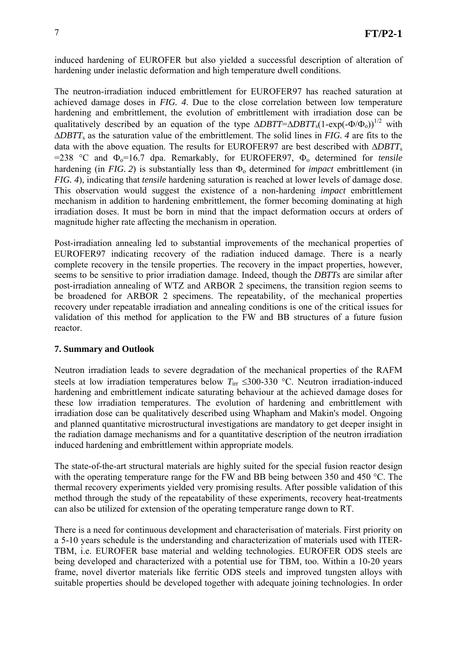induced hardening of EUROFER but also yielded a successful description of alteration of hardening under inelastic deformation and high temperature dwell conditions.

The neutron-irradiation induced embrittlement for EUROFER97 has reached saturation at achieved damage doses in *FIG. 4*. Due to the close correlation between low temperature hardening and embrittlement, the evolution of embrittlement with irradiation dose can be qualitatively described by an equation of the type  $\triangle DBTT = \triangle DBTT_s(1-\exp(-\Phi/\Phi_0))^{1/2}$  with Δ*DBTT*s as the saturation value of the embrittlement. The solid lines in *FIG. 4* are fits to the data with the above equation. The results for EUROFER97 are best described with Δ*DBTT*<sup>s</sup>  $=$ 238 °C and  $\Phi$ <sub>o</sub> $=$ 16.7 dpa. Remarkably, for EUROFER97,  $\Phi$ <sub>o</sub> determined for *tensile* hardening (in *FIG. 2*) is substantially less than  $\Phi_0$  determined for *impact* embrittlement (in *FIG. 4*), indicating that *tensile* hardening saturation is reached at lower levels of damage dose. This observation would suggest the existence of a non-hardening *impact* embrittlement mechanism in addition to hardening embrittlement, the former becoming dominating at high irradiation doses. It must be born in mind that the impact deformation occurs at orders of magnitude higher rate affecting the mechanism in operation.

Post-irradiation annealing led to substantial improvements of the mechanical properties of EUROFER97 indicating recovery of the radiation induced damage. There is a nearly complete recovery in the tensile properties. The recovery in the impact properties, however, seems to be sensitive to prior irradiation damage. Indeed, though the *DBTTs* are similar after post-irradiation annealing of WTZ and ARBOR 2 specimens, the transition region seems to be broadened for ARBOR 2 specimens. The repeatability, of the mechanical properties recovery under repeatable irradiation and annealing conditions is one of the critical issues for validation of this method for application to the FW and BB structures of a future fusion reactor.

# **7. Summary and Outlook**

Neutron irradiation leads to severe degradation of the mechanical properties of the RAFM steels at low irradiation temperatures below  $T_{irr} \leq 300-330$  °C. Neutron irradiation-induced hardening and embrittlement indicate saturating behaviour at the achieved damage doses for these low irradiation temperatures. The evolution of hardening and embrittlement with irradiation dose can be qualitatively described using Whapham and Makin's model. Ongoing and planned quantitative microstructural investigations are mandatory to get deeper insight in the radiation damage mechanisms and for a quantitative description of the neutron irradiation induced hardening and embrittlement within appropriate models.

The state-of-the-art structural materials are highly suited for the special fusion reactor design with the operating temperature range for the FW and BB being between 350 and 450 °C. The thermal recovery experiments yielded very promising results. After possible validation of this method through the study of the repeatability of these experiments, recovery heat-treatments can also be utilized for extension of the operating temperature range down to RT.

There is a need for continuous development and characterisation of materials. First priority on a 5-10 years schedule is the understanding and characterization of materials used with ITER-TBM, i.e. EUROFER base material and welding technologies. EUROFER ODS steels are being developed and characterized with a potential use for TBM, too. Within a 10-20 years frame, novel divertor materials like ferritic ODS steels and improved tungsten alloys with suitable properties should be developed together with adequate joining technologies. In order